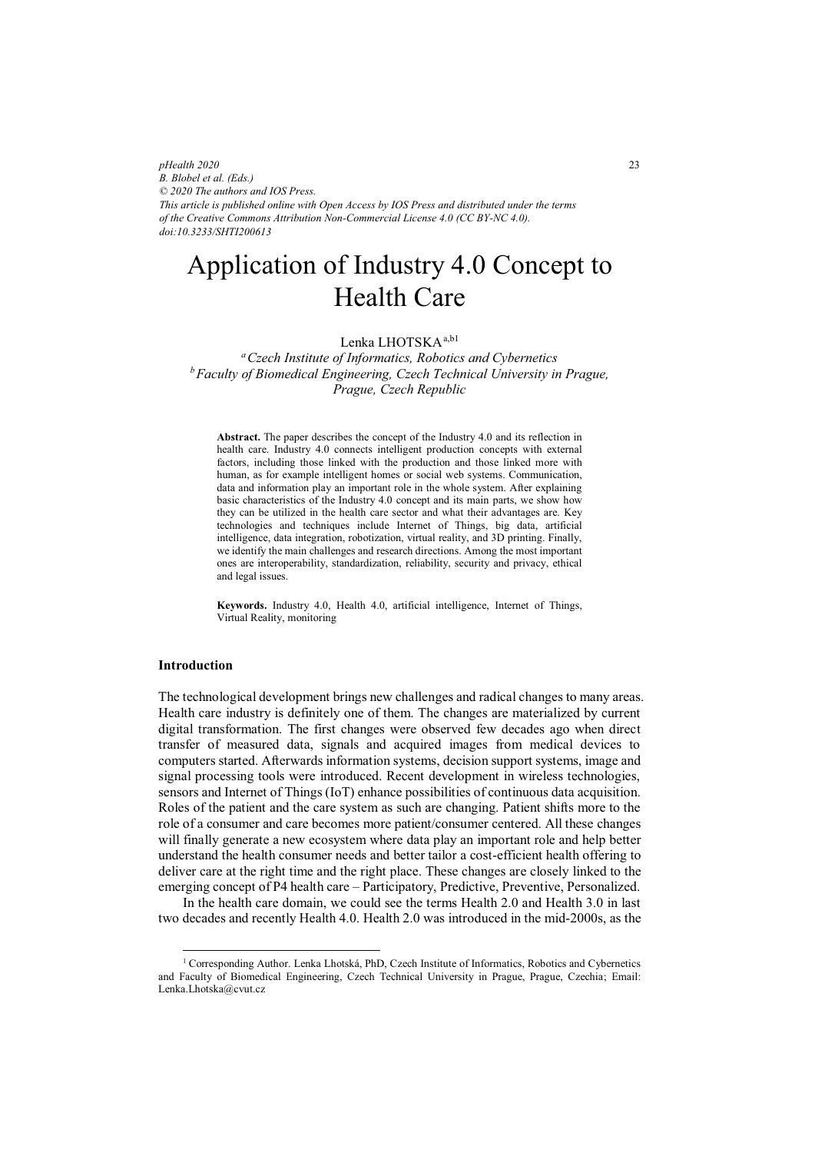*pHealth 2020 B. Blobel et al. (Eds.) © 2020 The authors and IOS Press. This article is published online with Open Access by IOS Press and distributed under the terms of the Creative Commons Attribution Non-Commercial License 4.0 (CC BY-NC 4.0). doi:10.3233/SHTI200613*

# Application of Industry 4.0 Concept to Health Care

# Lenka LHOTSKA<sup>a,b1</sup>

*aCzech Institute of Informatics, Robotics and Cybernetics bFaculty of Biomedical Engineering, Czech Technical University in Prague, Prague, Czech Republic* 

**Abstract.** The paper describes the concept of the Industry 4.0 and its reflection in health care. Industry 4.0 connects intelligent production concepts with external factors, including those linked with the production and those linked more with human, as for example intelligent homes or social web systems. Communication, data and information play an important role in the whole system. After explaining basic characteristics of the Industry 4.0 concept and its main parts, we show how they can be utilized in the health care sector and what their advantages are. Key technologies and techniques include Internet of Things, big data, artificial intelligence, data integration, robotization, virtual reality, and 3D printing. Finally, we identify the main challenges and research directions. Among the most important ones are interoperability, standardization, reliability, security and privacy, ethical and legal issues.

**Keywords.** Industry 4.0, Health 4.0, artificial intelligence, Internet of Things, Virtual Reality, monitoring

# **Introduction**

 $\overline{a}$ 

The technological development brings new challenges and radical changes to many areas. Health care industry is definitely one of them. The changes are materialized by current digital transformation. The first changes were observed few decades ago when direct transfer of measured data, signals and acquired images from medical devices to computers started. Afterwards information systems, decision support systems, image and signal processing tools were introduced. Recent development in wireless technologies, sensors and Internet of Things (IoT) enhance possibilities of continuous data acquisition. Roles of the patient and the care system as such are changing. Patient shifts more to the role of a consumer and care becomes more patient/consumer centered. All these changes will finally generate a new ecosystem where data play an important role and help better understand the health consumer needs and better tailor a cost-efficient health offering to deliver care at the right time and the right place. These changes are closely linked to the emerging concept of P4 health care – Participatory, Predictive, Preventive, Personalized.

In the health care domain, we could see the terms Health 2.0 and Health 3.0 in last two decades and recently Health 4.0. Health 2.0 was introduced in the mid-2000s, as the

<sup>1</sup> Corresponding Author. Lenka Lhotská, PhD, Czech Institute of Informatics, Robotics and Cybernetics and Faculty of Biomedical Engineering, Czech Technical University in Prague, Prague, Czechia; Email: Lenka.Lhotska@cvut.cz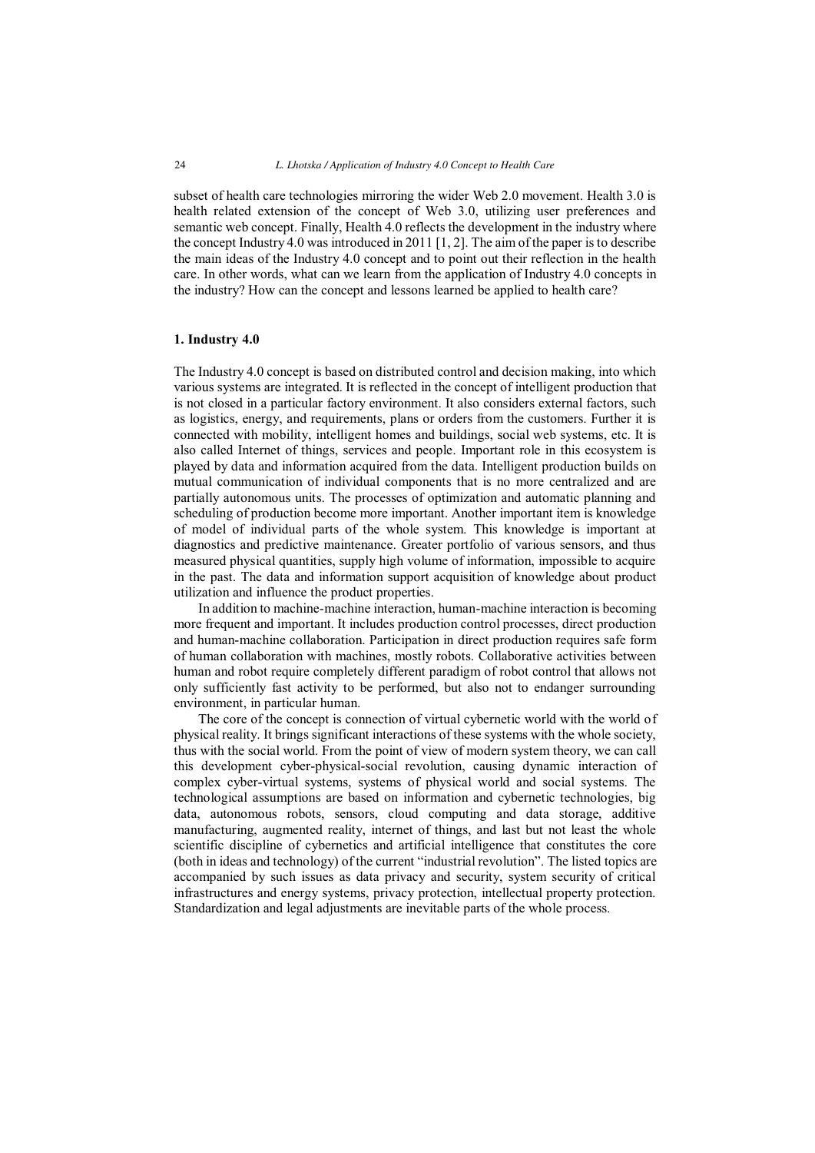subset of health care technologies mirroring the wider Web 2.0 movement. Health 3.0 is health related extension of the concept of Web 3.0, utilizing user preferences and semantic web concept. Finally, Health 4.0 reflects the development in the industry where the concept Industry 4.0 was introduced in 2011  $[1, 2]$ . The aim of the paper is to describe the main ideas of the Industry 4.0 concept and to point out their reflection in the health care. In other words, what can we learn from the application of Industry 4.0 concepts in the industry? How can the concept and lessons learned be applied to health care?

#### **1. Industry 4.0**

The Industry 4.0 concept is based on distributed control and decision making, into which various systems are integrated. It is reflected in the concept of intelligent production that is not closed in a particular factory environment. It also considers external factors, such as logistics, energy, and requirements, plans or orders from the customers. Further it is connected with mobility, intelligent homes and buildings, social web systems, etc. It is also called Internet of things, services and people. Important role in this ecosystem is played by data and information acquired from the data. Intelligent production builds on mutual communication of individual components that is no more centralized and are partially autonomous units. The processes of optimization and automatic planning and scheduling of production become more important. Another important item is knowledge of model of individual parts of the whole system. This knowledge is important at diagnostics and predictive maintenance. Greater portfolio of various sensors, and thus measured physical quantities, supply high volume of information, impossible to acquire in the past. The data and information support acquisition of knowledge about product utilization and influence the product properties.

In addition to machine-machine interaction, human-machine interaction is becoming more frequent and important. It includes production control processes, direct production and human-machine collaboration. Participation in direct production requires safe form of human collaboration with machines, mostly robots. Collaborative activities between human and robot require completely different paradigm of robot control that allows not only sufficiently fast activity to be performed, but also not to endanger surrounding environment, in particular human.

The core of the concept is connection of virtual cybernetic world with the world of physical reality. It brings significant interactions of these systems with the whole society, thus with the social world. From the point of view of modern system theory, we can call this development cyber-physical-social revolution, causing dynamic interaction of complex cyber-virtual systems, systems of physical world and social systems. The technological assumptions are based on information and cybernetic technologies, big data, autonomous robots, sensors, cloud computing and data storage, additive manufacturing, augmented reality, internet of things, and last but not least the whole scientific discipline of cybernetics and artificial intelligence that constitutes the core (both in ideas and technology) of the current "industrial revolution". The listed topics are accompanied by such issues as data privacy and security, system security of critical infrastructures and energy systems, privacy protection, intellectual property protection. Standardization and legal adjustments are inevitable parts of the whole process.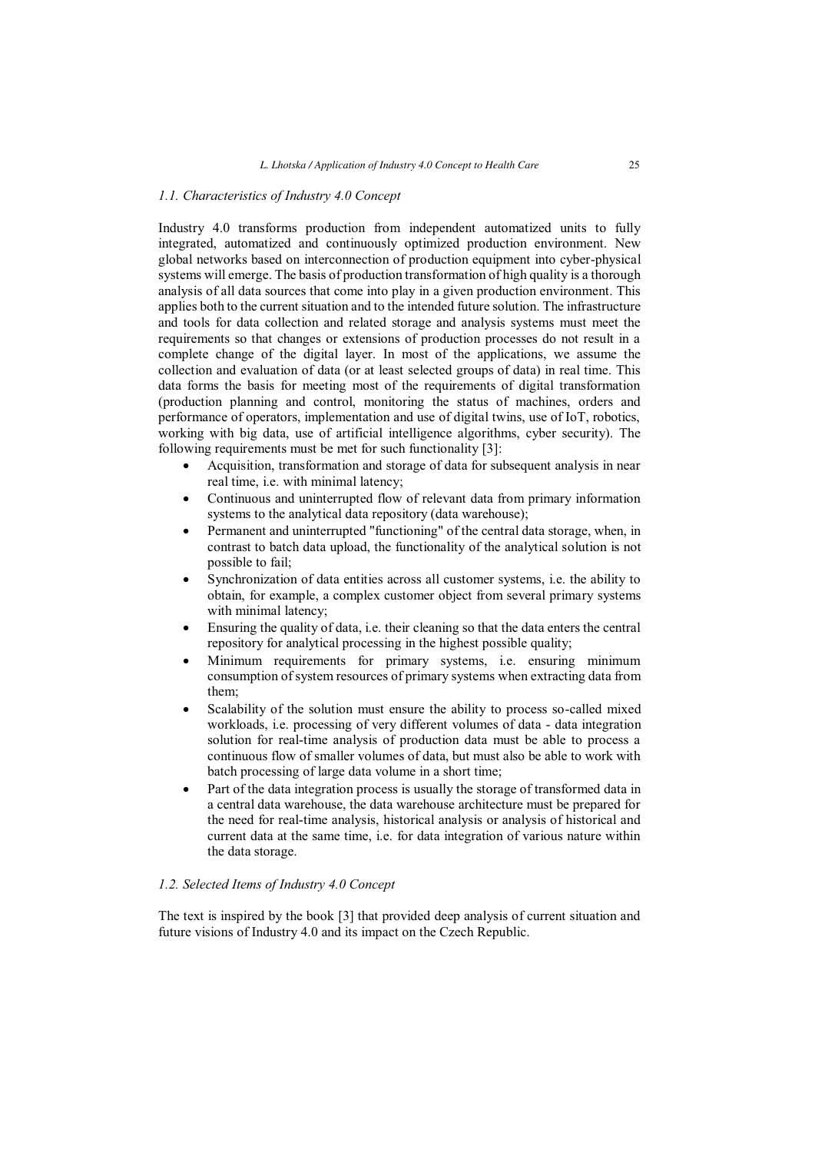## *1.1. Characteristics of Industry 4.0 Concept*

Industry 4.0 transforms production from independent automatized units to fully integrated, automatized and continuously optimized production environment. New global networks based on interconnection of production equipment into cyber-physical systems will emerge. The basis of production transformation of high quality is a thorough analysis of all data sources that come into play in a given production environment. This applies both to the current situation and to the intended future solution. The infrastructure and tools for data collection and related storage and analysis systems must meet the requirements so that changes or extensions of production processes do not result in a complete change of the digital layer. In most of the applications, we assume the collection and evaluation of data (or at least selected groups of data) in real time. This data forms the basis for meeting most of the requirements of digital transformation (production planning and control, monitoring the status of machines, orders and performance of operators, implementation and use of digital twins, use of IoT, robotics, working with big data, use of artificial intelligence algorithms, cyber security). The following requirements must be met for such functionality [3]:

- -Acquisition, transformation and storage of data for subsequent analysis in near real time, i.e. with minimal latency;
- $\blacksquare$  Continuous and uninterrupted flow of relevant data from primary information systems to the analytical data repository (data warehouse);
- - Permanent and uninterrupted "functioning" of the central data storage, when, in contrast to batch data upload, the functionality of the analytical solution is not possible to fail;
- - Synchronization of data entities across all customer systems, i.e. the ability to obtain, for example, a complex customer object from several primary systems with minimal latency;
- - Ensuring the quality of data, i.e. their cleaning so that the data enters the central repository for analytical processing in the highest possible quality;
- - Minimum requirements for primary systems, i.e. ensuring minimum consumption of system resources of primary systems when extracting data from them;
- $\bullet$  Scalability of the solution must ensure the ability to process so-called mixed workloads, i.e. processing of very different volumes of data - data integration solution for real-time analysis of production data must be able to process a continuous flow of smaller volumes of data, but must also be able to work with batch processing of large data volume in a short time;
- - Part of the data integration process is usually the storage of transformed data in a central data warehouse, the data warehouse architecture must be prepared for the need for real-time analysis, historical analysis or analysis of historical and current data at the same time, i.e. for data integration of various nature within the data storage.

# *1.2. Selected Items of Industry 4.0 Concept*

The text is inspired by the book [3] that provided deep analysis of current situation and future visions of Industry 4.0 and its impact on the Czech Republic.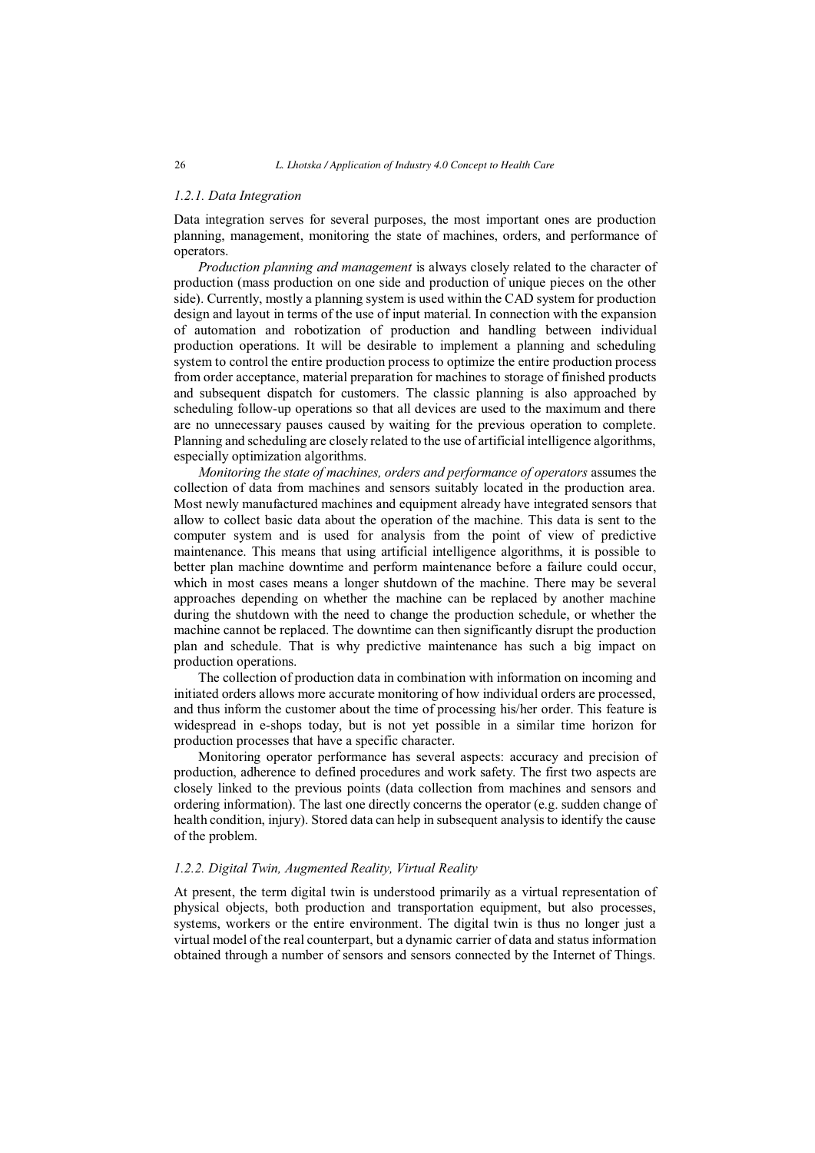# *1.2.1. Data Integration*

Data integration serves for several purposes, the most important ones are production planning, management, monitoring the state of machines, orders, and performance of operators.

*Production planning and management* is always closely related to the character of production (mass production on one side and production of unique pieces on the other side). Currently, mostly a planning system is used within the CAD system for production design and layout in terms of the use of input material. In connection with the expansion of automation and robotization of production and handling between individual production operations. It will be desirable to implement a planning and scheduling system to control the entire production process to optimize the entire production process from order acceptance, material preparation for machines to storage of finished products and subsequent dispatch for customers. The classic planning is also approached by scheduling follow-up operations so that all devices are used to the maximum and there are no unnecessary pauses caused by waiting for the previous operation to complete. Planning and scheduling are closely related to the use of artificial intelligence algorithms, especially optimization algorithms.

*Monitoring the state of machines, orders and performance of operators* assumes the collection of data from machines and sensors suitably located in the production area. Most newly manufactured machines and equipment already have integrated sensors that allow to collect basic data about the operation of the machine. This data is sent to the computer system and is used for analysis from the point of view of predictive maintenance. This means that using artificial intelligence algorithms, it is possible to better plan machine downtime and perform maintenance before a failure could occur, which in most cases means a longer shutdown of the machine. There may be several approaches depending on whether the machine can be replaced by another machine during the shutdown with the need to change the production schedule, or whether the machine cannot be replaced. The downtime can then significantly disrupt the production plan and schedule. That is why predictive maintenance has such a big impact on production operations.

The collection of production data in combination with information on incoming and initiated orders allows more accurate monitoring of how individual orders are processed, and thus inform the customer about the time of processing his/her order. This feature is widespread in e-shops today, but is not yet possible in a similar time horizon for production processes that have a specific character.

Monitoring operator performance has several aspects: accuracy and precision of production, adherence to defined procedures and work safety. The first two aspects are closely linked to the previous points (data collection from machines and sensors and ordering information). The last one directly concerns the operator (e.g. sudden change of health condition, injury). Stored data can help in subsequent analysis to identify the cause of the problem.

# *1.2.2. Digital Twin, Augmented Reality, Virtual Reality*

At present, the term digital twin is understood primarily as a virtual representation of physical objects, both production and transportation equipment, but also processes, systems, workers or the entire environment. The digital twin is thus no longer just a virtual model of the real counterpart, but a dynamic carrier of data and status information obtained through a number of sensors and sensors connected by the Internet of Things.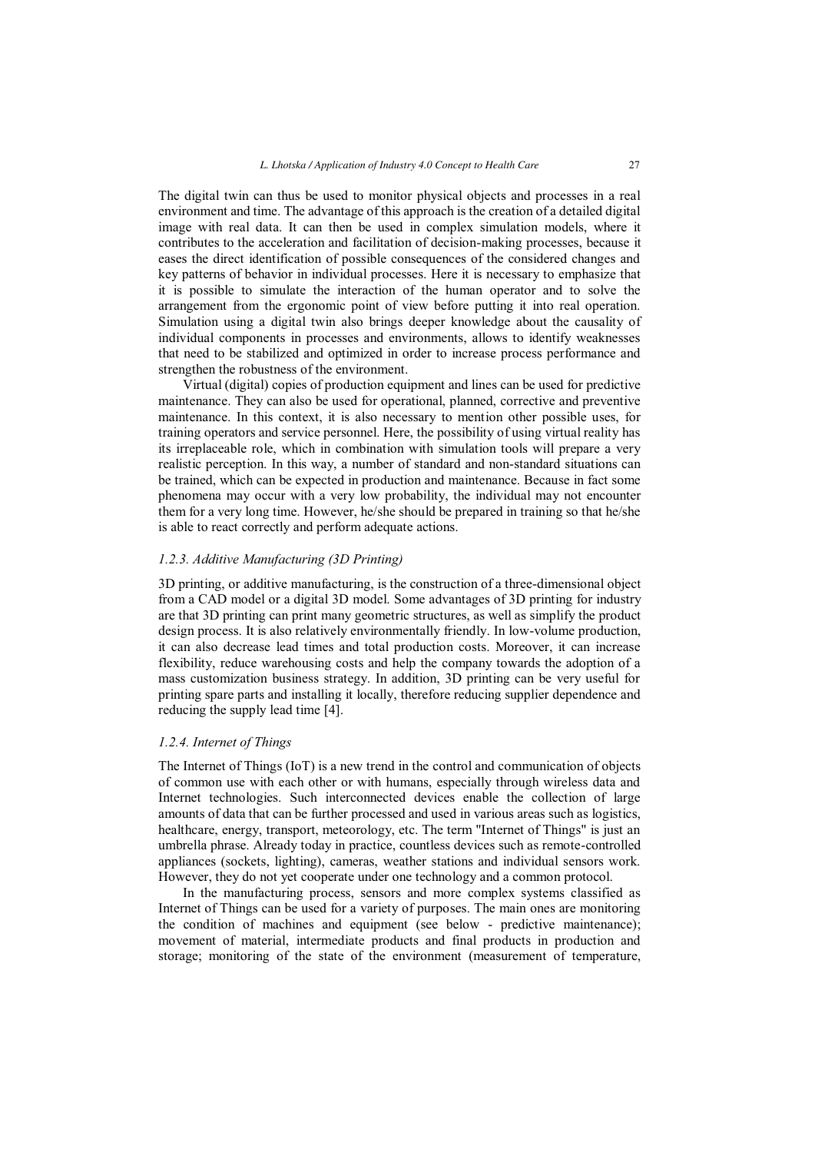The digital twin can thus be used to monitor physical objects and processes in a real environment and time. The advantage of this approach is the creation of a detailed digital image with real data. It can then be used in complex simulation models, where it contributes to the acceleration and facilitation of decision-making processes, because it eases the direct identification of possible consequences of the considered changes and key patterns of behavior in individual processes. Here it is necessary to emphasize that it is possible to simulate the interaction of the human operator and to solve the arrangement from the ergonomic point of view before putting it into real operation. Simulation using a digital twin also brings deeper knowledge about the causality of individual components in processes and environments, allows to identify weaknesses that need to be stabilized and optimized in order to increase process performance and strengthen the robustness of the environment.

Virtual (digital) copies of production equipment and lines can be used for predictive maintenance. They can also be used for operational, planned, corrective and preventive maintenance. In this context, it is also necessary to mention other possible uses, for training operators and service personnel. Here, the possibility of using virtual reality has its irreplaceable role, which in combination with simulation tools will prepare a very realistic perception. In this way, a number of standard and non-standard situations can be trained, which can be expected in production and maintenance. Because in fact some phenomena may occur with a very low probability, the individual may not encounter them for a very long time. However, he/she should be prepared in training so that he/she is able to react correctly and perform adequate actions.

# *1.2.3. Additive Manufacturing (3D Printing)*

3D printing, or additive manufacturing, is the construction of a three-dimensional object from a CAD model or a digital 3D model. Some advantages of 3D printing for industry are that 3D printing can print many geometric structures, as well as simplify the product design process. It is also relatively environmentally friendly. In low-volume production, it can also decrease lead times and total production costs. Moreover, it can increase flexibility, reduce warehousing costs and help the company towards the adoption of a mass customization business strategy. In addition, 3D printing can be very useful for printing spare parts and installing it locally, therefore reducing supplier dependence and reducing the supply lead time [4].

#### *1.2.4. Internet of Things*

The Internet of Things (IoT) is a new trend in the control and communication of objects of common use with each other or with humans, especially through wireless data and Internet technologies. Such interconnected devices enable the collection of large amounts of data that can be further processed and used in various areas such as logistics, healthcare, energy, transport, meteorology, etc. The term "Internet of Things" is just an umbrella phrase. Already today in practice, countless devices such as remote-controlled appliances (sockets, lighting), cameras, weather stations and individual sensors work. However, they do not yet cooperate under one technology and a common protocol.

In the manufacturing process, sensors and more complex systems classified as Internet of Things can be used for a variety of purposes. The main ones are monitoring the condition of machines and equipment (see below - predictive maintenance); movement of material, intermediate products and final products in production and storage; monitoring of the state of the environment (measurement of temperature,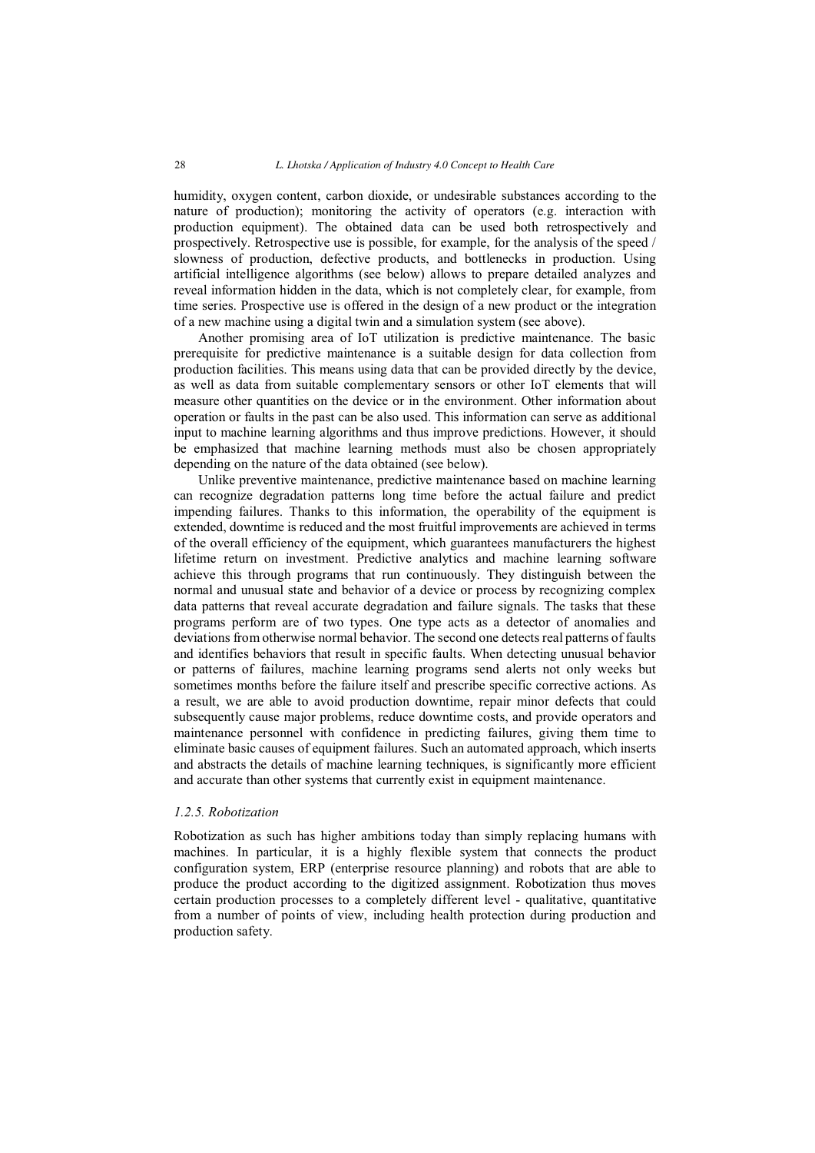humidity, oxygen content, carbon dioxide, or undesirable substances according to the nature of production); monitoring the activity of operators (e.g. interaction with production equipment). The obtained data can be used both retrospectively and prospectively. Retrospective use is possible, for example, for the analysis of the speed / slowness of production, defective products, and bottlenecks in production. Using artificial intelligence algorithms (see below) allows to prepare detailed analyzes and reveal information hidden in the data, which is not completely clear, for example, from time series. Prospective use is offered in the design of a new product or the integration of a new machine using a digital twin and a simulation system (see above).

Another promising area of IoT utilization is predictive maintenance. The basic prerequisite for predictive maintenance is a suitable design for data collection from production facilities. This means using data that can be provided directly by the device, as well as data from suitable complementary sensors or other IoT elements that will measure other quantities on the device or in the environment. Other information about operation or faults in the past can be also used. This information can serve as additional input to machine learning algorithms and thus improve predictions. However, it should be emphasized that machine learning methods must also be chosen appropriately depending on the nature of the data obtained (see below).

Unlike preventive maintenance, predictive maintenance based on machine learning can recognize degradation patterns long time before the actual failure and predict impending failures. Thanks to this information, the operability of the equipment is extended, downtime is reduced and the most fruitful improvements are achieved in terms of the overall efficiency of the equipment, which guarantees manufacturers the highest lifetime return on investment. Predictive analytics and machine learning software achieve this through programs that run continuously. They distinguish between the normal and unusual state and behavior of a device or process by recognizing complex data patterns that reveal accurate degradation and failure signals. The tasks that these programs perform are of two types. One type acts as a detector of anomalies and deviations from otherwise normal behavior. The second one detects real patterns of faults and identifies behaviors that result in specific faults. When detecting unusual behavior or patterns of failures, machine learning programs send alerts not only weeks but sometimes months before the failure itself and prescribe specific corrective actions. As a result, we are able to avoid production downtime, repair minor defects that could subsequently cause major problems, reduce downtime costs, and provide operators and maintenance personnel with confidence in predicting failures, giving them time to eliminate basic causes of equipment failures. Such an automated approach, which inserts and abstracts the details of machine learning techniques, is significantly more efficient and accurate than other systems that currently exist in equipment maintenance.

# *1.2.5. Robotization*

Robotization as such has higher ambitions today than simply replacing humans with machines. In particular, it is a highly flexible system that connects the product configuration system, ERP (enterprise resource planning) and robots that are able to produce the product according to the digitized assignment. Robotization thus moves certain production processes to a completely different level - qualitative, quantitative from a number of points of view, including health protection during production and production safety.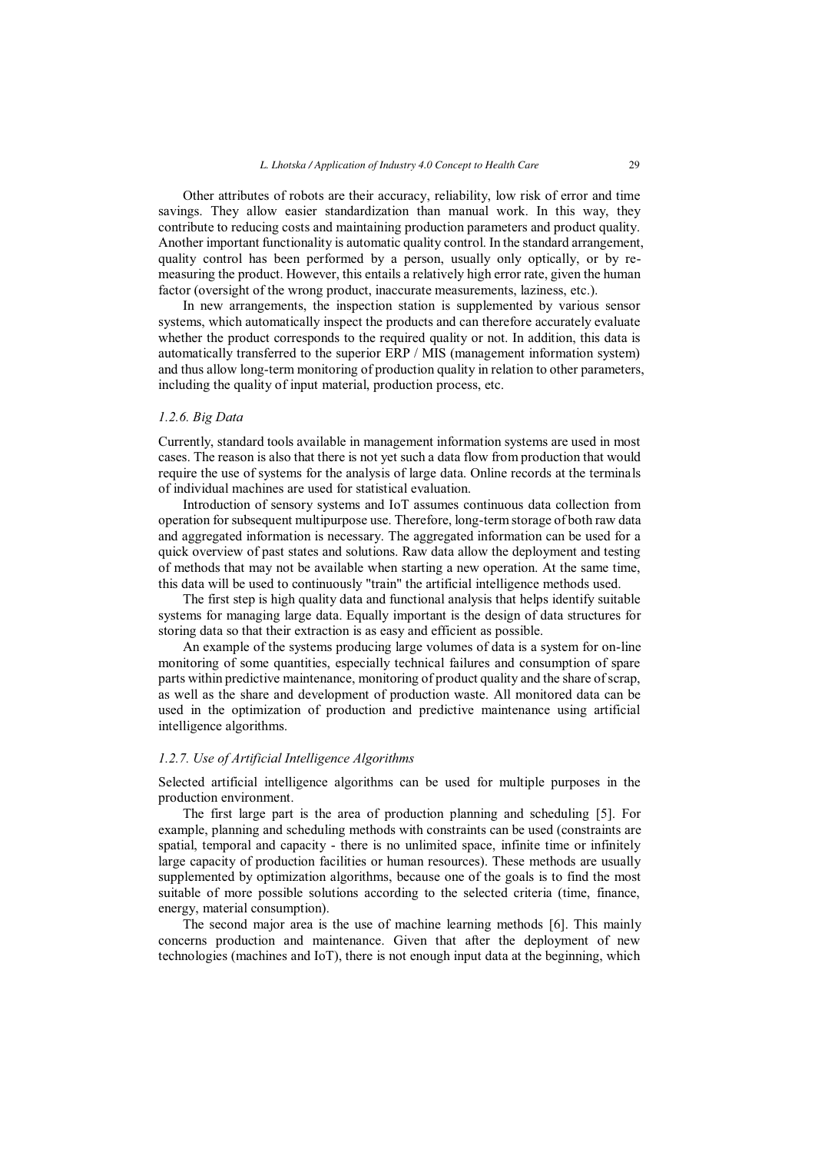Other attributes of robots are their accuracy, reliability, low risk of error and time savings. They allow easier standardization than manual work. In this way, they contribute to reducing costs and maintaining production parameters and product quality. Another important functionality is automatic quality control. In the standard arrangement, quality control has been performed by a person, usually only optically, or by remeasuring the product. However, this entails a relatively high error rate, given the human factor (oversight of the wrong product, inaccurate measurements, laziness, etc.).

In new arrangements, the inspection station is supplemented by various sensor systems, which automatically inspect the products and can therefore accurately evaluate whether the product corresponds to the required quality or not. In addition, this data is automatically transferred to the superior ERP / MIS (management information system) and thus allow long-term monitoring of production quality in relation to other parameters, including the quality of input material, production process, etc.

#### *1.2.6. Big Data*

Currently, standard tools available in management information systems are used in most cases. The reason is also that there is not yet such a data flow from production that would require the use of systems for the analysis of large data. Online records at the terminals of individual machines are used for statistical evaluation.

Introduction of sensory systems and IoT assumes continuous data collection from operation for subsequent multipurpose use. Therefore, long-term storage of both raw data and aggregated information is necessary. The aggregated information can be used for a quick overview of past states and solutions. Raw data allow the deployment and testing of methods that may not be available when starting a new operation. At the same time, this data will be used to continuously "train" the artificial intelligence methods used.

The first step is high quality data and functional analysis that helps identify suitable systems for managing large data. Equally important is the design of data structures for storing data so that their extraction is as easy and efficient as possible.

An example of the systems producing large volumes of data is a system for on-line monitoring of some quantities, especially technical failures and consumption of spare parts within predictive maintenance, monitoring of product quality and the share of scrap, as well as the share and development of production waste. All monitored data can be used in the optimization of production and predictive maintenance using artificial intelligence algorithms.

#### *1.2.7. Use of Artificial Intelligence Algorithms*

Selected artificial intelligence algorithms can be used for multiple purposes in the production environment.

The first large part is the area of production planning and scheduling [5]. For example, planning and scheduling methods with constraints can be used (constraints are spatial, temporal and capacity - there is no unlimited space, infinite time or infinitely large capacity of production facilities or human resources). These methods are usually supplemented by optimization algorithms, because one of the goals is to find the most suitable of more possible solutions according to the selected criteria (time, finance, energy, material consumption).

The second major area is the use of machine learning methods [6]. This mainly concerns production and maintenance. Given that after the deployment of new technologies (machines and IoT), there is not enough input data at the beginning, which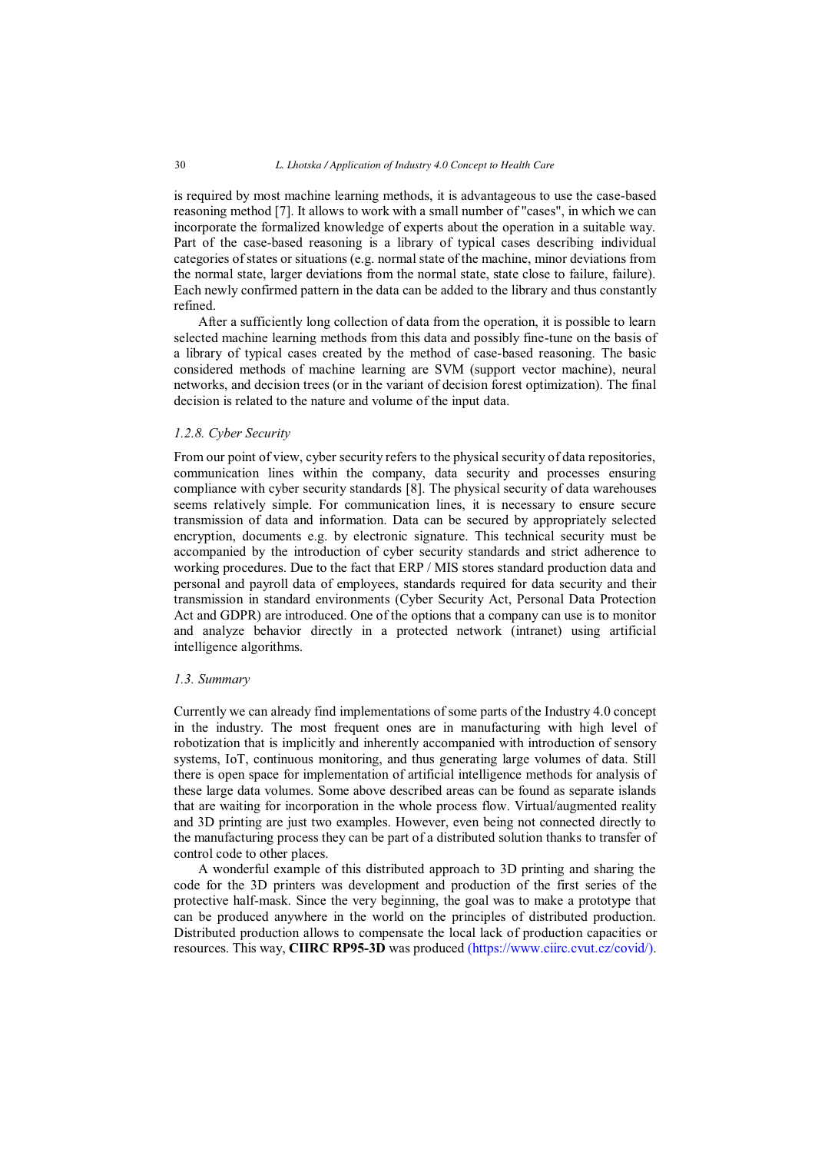is required by most machine learning methods, it is advantageous to use the case-based reasoning method [7]. It allows to work with a small number of "cases", in which we can incorporate the formalized knowledge of experts about the operation in a suitable way. Part of the case-based reasoning is a library of typical cases describing individual categories of states or situations (e.g. normal state of the machine, minor deviations from the normal state, larger deviations from the normal state, state close to failure, failure). Each newly confirmed pattern in the data can be added to the library and thus constantly refined.

After a sufficiently long collection of data from the operation, it is possible to learn selected machine learning methods from this data and possibly fine-tune on the basis of a library of typical cases created by the method of case-based reasoning. The basic considered methods of machine learning are SVM (support vector machine), neural networks, and decision trees (or in the variant of decision forest optimization). The final decision is related to the nature and volume of the input data.

#### *1.2.8. Cyber Security*

From our point of view, cyber security refers to the physical security of data repositories, communication lines within the company, data security and processes ensuring compliance with cyber security standards [8]. The physical security of data warehouses seems relatively simple. For communication lines, it is necessary to ensure secure transmission of data and information. Data can be secured by appropriately selected encryption, documents e.g. by electronic signature. This technical security must be accompanied by the introduction of cyber security standards and strict adherence to working procedures. Due to the fact that ERP / MIS stores standard production data and personal and payroll data of employees, standards required for data security and their transmission in standard environments (Cyber Security Act, Personal Data Protection Act and GDPR) are introduced. One of the options that a company can use is to monitor and analyze behavior directly in a protected network (intranet) using artificial intelligence algorithms.

#### *1.3. Summary*

Currently we can already find implementations of some parts of the Industry 4.0 concept in the industry. The most frequent ones are in manufacturing with high level of robotization that is implicitly and inherently accompanied with introduction of sensory systems, IoT, continuous monitoring, and thus generating large volumes of data. Still there is open space for implementation of artificial intelligence methods for analysis of these large data volumes. Some above described areas can be found as separate islands that are waiting for incorporation in the whole process flow. Virtual/augmented reality and 3D printing are just two examples. However, even being not connected directly to the manufacturing process they can be part of a distributed solution thanks to transfer of control code to other places.

A wonderful example of this distributed approach to 3D printing and sharing the code for the 3D printers was development and production of the first series of the protective half-mask. Since the very beginning, the goal was to make a prototype that can be produced anywhere in the world on the principles of distributed production. Distributed production allows to compensate the local lack of production capacities or resources. This way, **CIIRC RP95-3D** was produced [\(https://www.ciirc.cvut.cz/covid/\)](https://www.ciirc.cvut.cz/covid/).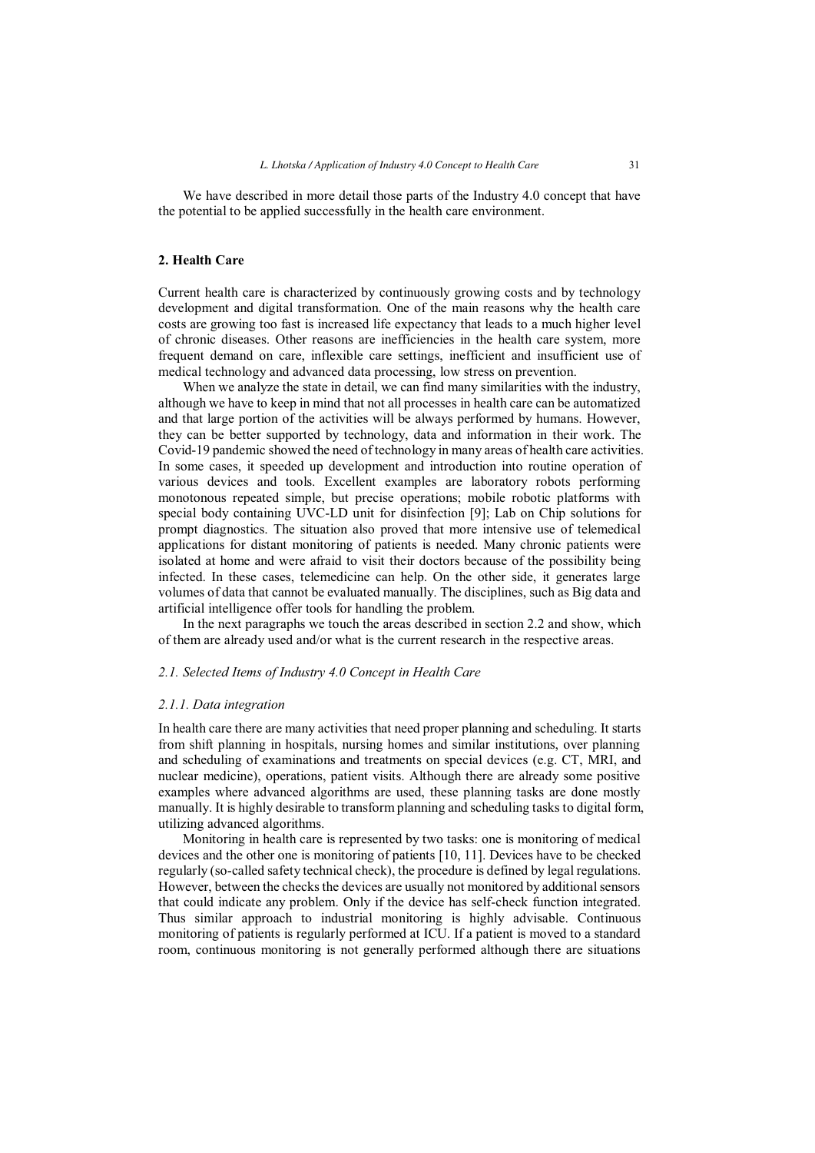We have described in more detail those parts of the Industry 4.0 concept that have the potential to be applied successfully in the health care environment.

# **2. Health Care**

Current health care is characterized by continuously growing costs and by technology development and digital transformation. One of the main reasons why the health care costs are growing too fast is increased life expectancy that leads to a much higher level of chronic diseases. Other reasons are inefficiencies in the health care system, more frequent demand on care, inflexible care settings, inefficient and insufficient use of medical technology and advanced data processing, low stress on prevention.

When we analyze the state in detail, we can find many similarities with the industry, although we have to keep in mind that not all processes in health care can be automatized and that large portion of the activities will be always performed by humans. However, they can be better supported by technology, data and information in their work. The Covid-19 pandemic showed the need of technology in many areas of health care activities. In some cases, it speeded up development and introduction into routine operation of various devices and tools. Excellent examples are laboratory robots performing monotonous repeated simple, but precise operations; mobile robotic platforms with special body containing UVC-LD unit for disinfection [9]; Lab on Chip solutions for prompt diagnostics. The situation also proved that more intensive use of telemedical applications for distant monitoring of patients is needed. Many chronic patients were isolated at home and were afraid to visit their doctors because of the possibility being infected. In these cases, telemedicine can help. On the other side, it generates large volumes of data that cannot be evaluated manually. The disciplines, such as Big data and artificial intelligence offer tools for handling the problem.

In the next paragraphs we touch the areas described in section 2.2 and show, which of them are already used and/or what is the current research in the respective areas.

# *2.1. Selected Items of Industry 4.0 Concept in Health Care*

#### *2.1.1. Data integration*

In health care there are many activities that need proper planning and scheduling. It starts from shift planning in hospitals, nursing homes and similar institutions, over planning and scheduling of examinations and treatments on special devices (e.g. CT, MRI, and nuclear medicine), operations, patient visits. Although there are already some positive examples where advanced algorithms are used, these planning tasks are done mostly manually. It is highly desirable to transform planning and scheduling tasks to digital form, utilizing advanced algorithms.

Monitoring in health care is represented by two tasks: one is monitoring of medical devices and the other one is monitoring of patients [10, 11]. Devices have to be checked regularly (so-called safety technical check), the procedure is defined by legal regulations. However, between the checks the devices are usually not monitored by additional sensors that could indicate any problem. Only if the device has self-check function integrated. Thus similar approach to industrial monitoring is highly advisable. Continuous monitoring of patients is regularly performed at ICU. If a patient is moved to a standard room, continuous monitoring is not generally performed although there are situations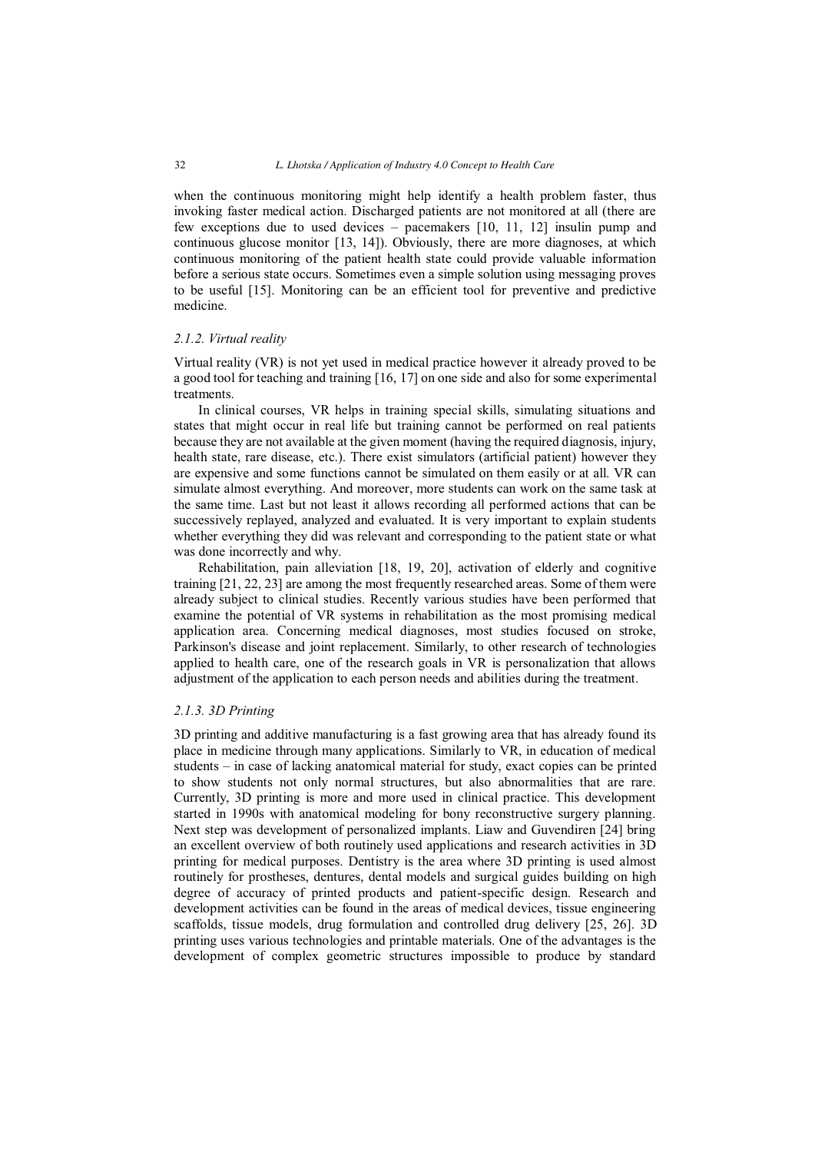when the continuous monitoring might help identify a health problem faster, thus invoking faster medical action. Discharged patients are not monitored at all (there are few exceptions due to used devices – pacemakers [10, 11, 12] insulin pump and continuous glucose monitor [13, 14]). Obviously, there are more diagnoses, at which continuous monitoring of the patient health state could provide valuable information before a serious state occurs. Sometimes even a simple solution using messaging proves to be useful [15]. Monitoring can be an efficient tool for preventive and predictive medicine.

## *2.1.2. Virtual reality*

Virtual reality (VR) is not yet used in medical practice however it already proved to be a good tool for teaching and training [16, 17] on one side and also for some experimental treatments.

In clinical courses, VR helps in training special skills, simulating situations and states that might occur in real life but training cannot be performed on real patients because they are not available at the given moment (having the required diagnosis, injury, health state, rare disease, etc.). There exist simulators (artificial patient) however they are expensive and some functions cannot be simulated on them easily or at all. VR can simulate almost everything. And moreover, more students can work on the same task at the same time. Last but not least it allows recording all performed actions that can be successively replayed, analyzed and evaluated. It is very important to explain students whether everything they did was relevant and corresponding to the patient state or what was done incorrectly and why.

Rehabilitation, pain alleviation [18, 19, 20], activation of elderly and cognitive training [21, 22, 23] are among the most frequently researched areas. Some of them were already subject to clinical studies. Recently various studies have been performed that examine the potential of VR systems in rehabilitation as the most promising medical application area. Concerning medical diagnoses, most studies focused on stroke, Parkinson's disease and joint replacement. Similarly, to other research of technologies applied to health care, one of the research goals in VR is personalization that allows adjustment of the application to each person needs and abilities during the treatment.

# *2.1.3. 3D Printing*

3D printing and additive manufacturing is a fast growing area that has already found its place in medicine through many applications. Similarly to VR, in education of medical students – in case of lacking anatomical material for study, exact copies can be printed to show students not only normal structures, but also abnormalities that are rare. Currently, 3D printing is more and more used in clinical practice. This development started in 1990s with anatomical modeling for bony reconstructive surgery planning. Next step was development of personalized implants. Liaw and Guvendiren [24] bring an excellent overview of both routinely used applications and research activities in 3D printing for medical purposes. Dentistry is the area where 3D printing is used almost routinely for prostheses, dentures, dental models and surgical guides building on high degree of accuracy of printed products and patient-specific design. Research and development activities can be found in the areas of medical devices, tissue engineering scaffolds, tissue models, drug formulation and controlled drug delivery [25, 26]. 3D printing uses various technologies and printable materials. One of the advantages is the development of complex geometric structures impossible to produce by standard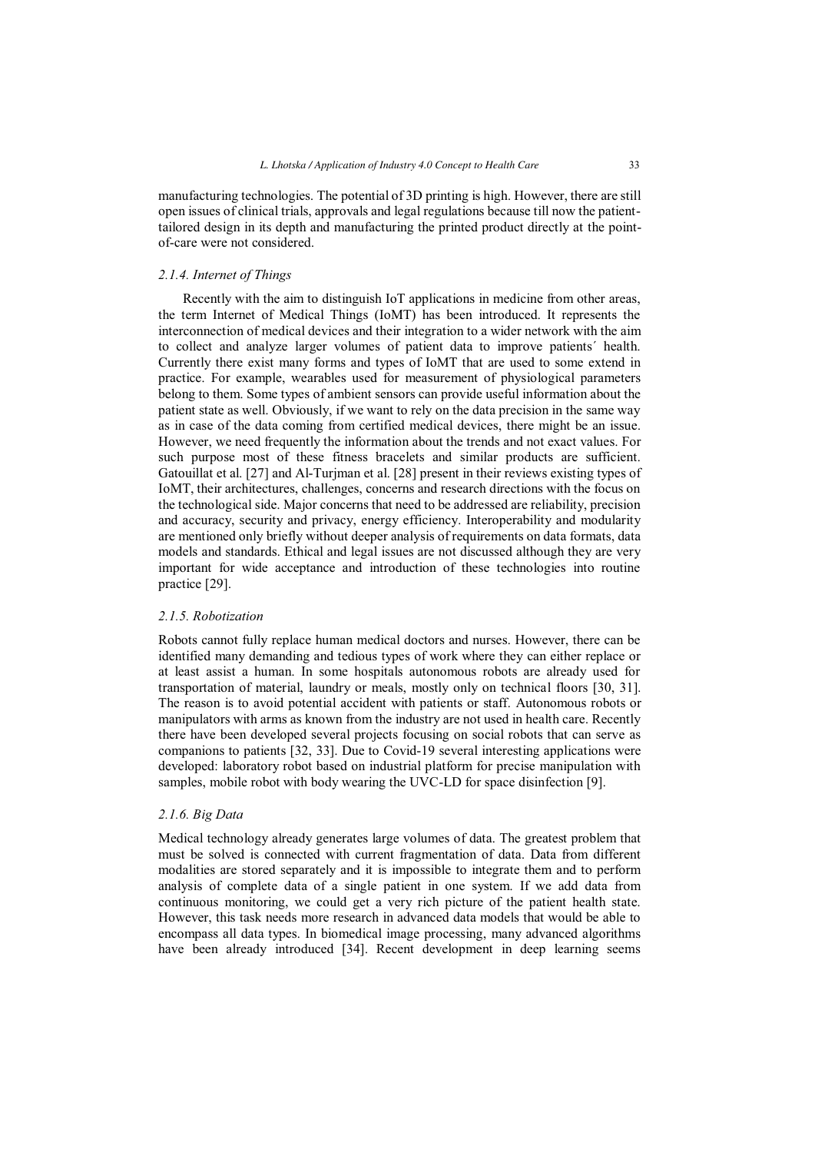manufacturing technologies. The potential of 3D printing is high. However, there are still open issues of clinical trials, approvals and legal regulations because till now the patienttailored design in its depth and manufacturing the printed product directly at the pointof-care were not considered.

## *2.1.4. Internet of Things*

Recently with the aim to distinguish IoT applications in medicine from other areas, the term Internet of Medical Things (IoMT) has been introduced. It represents the interconnection of medical devices and their integration to a wider network with the aim to collect and analyze larger volumes of patient data to improve patients´ health. Currently there exist many forms and types of IoMT that are used to some extend in practice. For example, wearables used for measurement of physiological parameters belong to them. Some types of ambient sensors can provide useful information about the patient state as well. Obviously, if we want to rely on the data precision in the same way as in case of the data coming from certified medical devices, there might be an issue. However, we need frequently the information about the trends and not exact values. For such purpose most of these fitness bracelets and similar products are sufficient. Gatouillat et al. [27] and Al-Turjman et al. [28] present in their reviews existing types of IoMT, their architectures, challenges, concerns and research directions with the focus on the technological side. Major concerns that need to be addressed are reliability, precision and accuracy, security and privacy, energy efficiency. Interoperability and modularity are mentioned only briefly without deeper analysis of requirements on data formats, data models and standards. Ethical and legal issues are not discussed although they are very important for wide acceptance and introduction of these technologies into routine practice [29].

# *2.1.5. Robotization*

Robots cannot fully replace human medical doctors and nurses. However, there can be identified many demanding and tedious types of work where they can either replace or at least assist a human. In some hospitals autonomous robots are already used for transportation of material, laundry or meals, mostly only on technical floors [30, 31]. The reason is to avoid potential accident with patients or staff. Autonomous robots or manipulators with arms as known from the industry are not used in health care. Recently there have been developed several projects focusing on social robots that can serve as companions to patients [32, 33]. Due to Covid-19 several interesting applications were developed: laboratory robot based on industrial platform for precise manipulation with samples, mobile robot with body wearing the UVC-LD for space disinfection [9].

# *2.1.6. Big Data*

Medical technology already generates large volumes of data. The greatest problem that must be solved is connected with current fragmentation of data. Data from different modalities are stored separately and it is impossible to integrate them and to perform analysis of complete data of a single patient in one system. If we add data from continuous monitoring, we could get a very rich picture of the patient health state. However, this task needs more research in advanced data models that would be able to encompass all data types. In biomedical image processing, many advanced algorithms have been already introduced [34]. Recent development in deep learning seems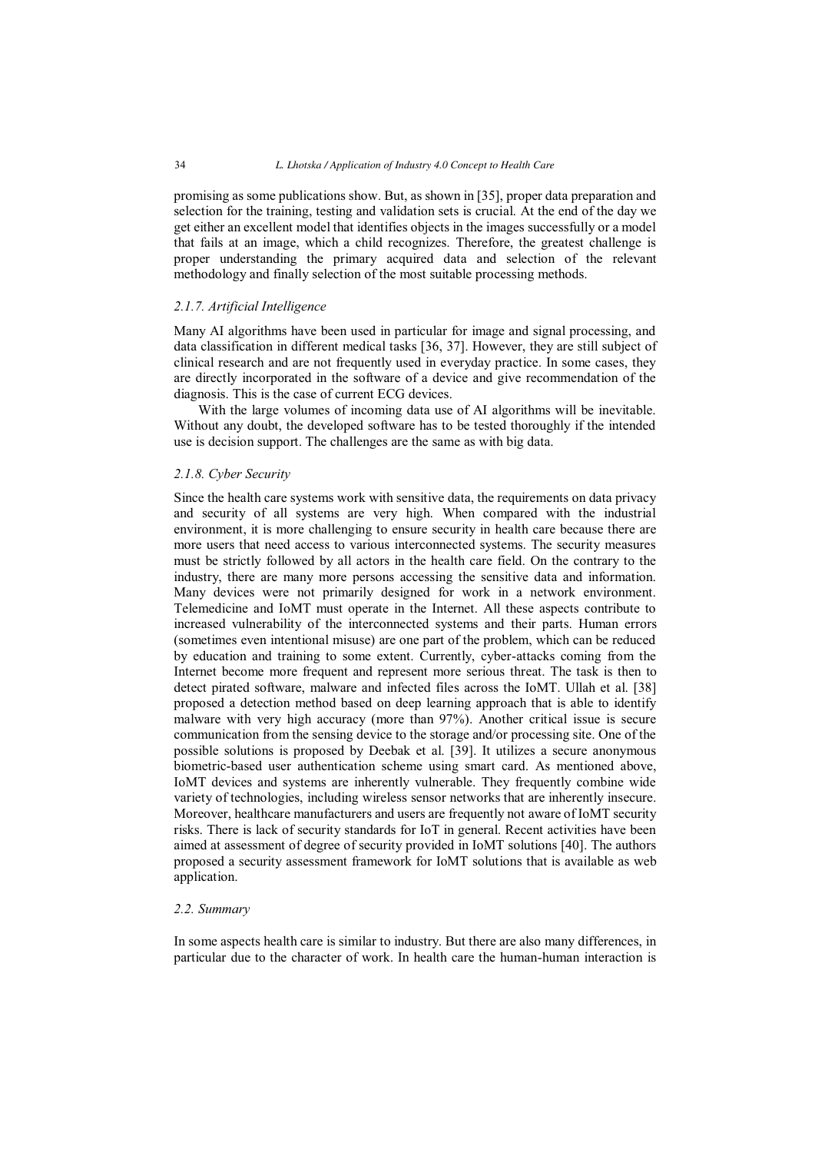promising as some publications show. But, as shown in [35], proper data preparation and selection for the training, testing and validation sets is crucial. At the end of the day we get either an excellent model that identifies objects in the images successfully or a model that fails at an image, which a child recognizes. Therefore, the greatest challenge is proper understanding the primary acquired data and selection of the relevant methodology and finally selection of the most suitable processing methods.

# *2.1.7. Artificial Intelligence*

Many AI algorithms have been used in particular for image and signal processing, and data classification in different medical tasks [36, 37]. However, they are still subject of clinical research and are not frequently used in everyday practice. In some cases, they are directly incorporated in the software of a device and give recommendation of the diagnosis. This is the case of current ECG devices.

With the large volumes of incoming data use of AI algorithms will be inevitable. Without any doubt, the developed software has to be tested thoroughly if the intended use is decision support. The challenges are the same as with big data.

# *2.1.8. Cyber Security*

Since the health care systems work with sensitive data, the requirements on data privacy and security of all systems are very high. When compared with the industrial environment, it is more challenging to ensure security in health care because there are more users that need access to various interconnected systems. The security measures must be strictly followed by all actors in the health care field. On the contrary to the industry, there are many more persons accessing the sensitive data and information. Many devices were not primarily designed for work in a network environment. Telemedicine and IoMT must operate in the Internet. All these aspects contribute to increased vulnerability of the interconnected systems and their parts. Human errors (sometimes even intentional misuse) are one part of the problem, which can be reduced by education and training to some extent. Currently, cyber-attacks coming from the Internet become more frequent and represent more serious threat. The task is then to detect pirated software, malware and infected files across the IoMT. Ullah et al. [38] proposed a detection method based on deep learning approach that is able to identify malware with very high accuracy (more than 97%). Another critical issue is secure communication from the sensing device to the storage and/or processing site. One of the possible solutions is proposed by Deebak et al. [39]. It utilizes a secure anonymous biometric-based user authentication scheme using smart card. As mentioned above, IoMT devices and systems are inherently vulnerable. They frequently combine wide variety of technologies, including wireless sensor networks that are inherently insecure. Moreover, healthcare manufacturers and users are frequently not aware of IoMT security risks. There is lack of security standards for IoT in general. Recent activities have been aimed at assessment of degree of security provided in IoMT solutions [40]. The authors proposed a security assessment framework for IoMT solutions that is available as web application.

# *2.2. Summary*

In some aspects health care is similar to industry. But there are also many differences, in particular due to the character of work. In health care the human-human interaction is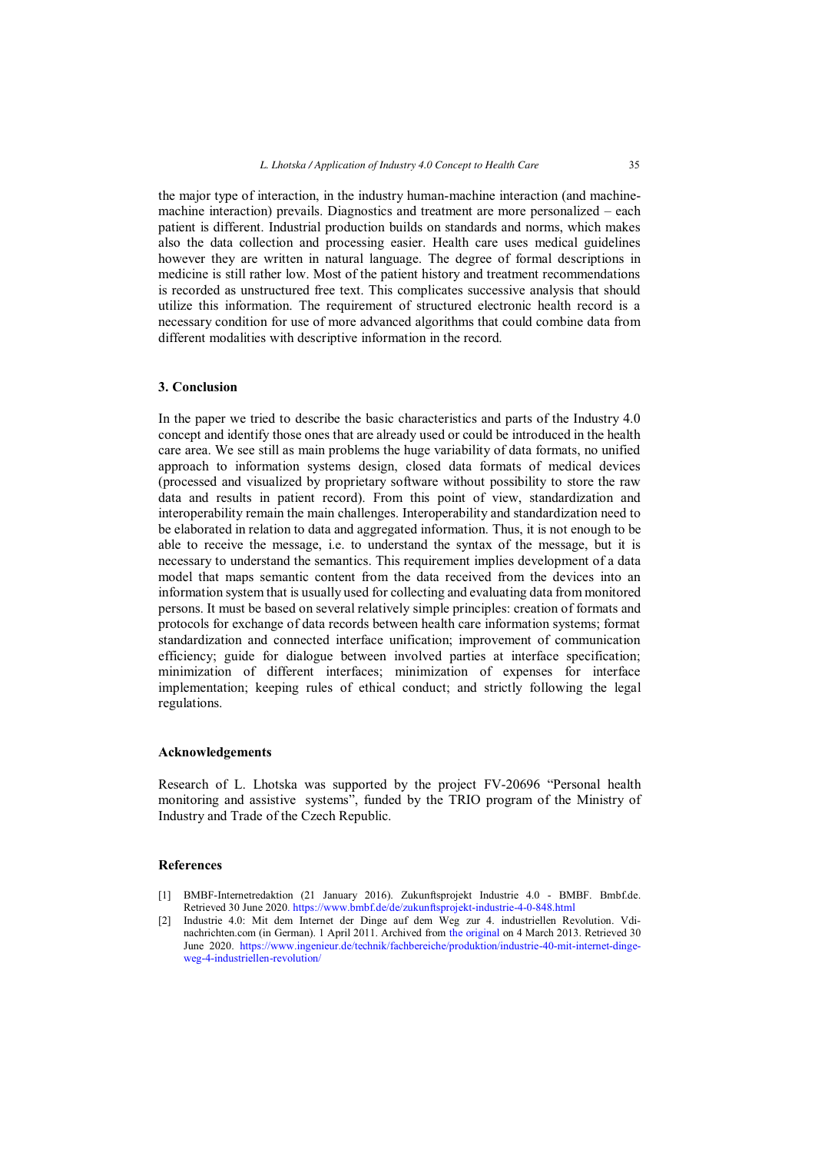the major type of interaction, in the industry human-machine interaction (and machinemachine interaction) prevails. Diagnostics and treatment are more personalized – each patient is different. Industrial production builds on standards and norms, which makes also the data collection and processing easier. Health care uses medical guidelines however they are written in natural language. The degree of formal descriptions in medicine is still rather low. Most of the patient history and treatment recommendations is recorded as unstructured free text. This complicates successive analysis that should utilize this information. The requirement of structured electronic health record is a necessary condition for use of more advanced algorithms that could combine data from different modalities with descriptive information in the record.

# **3. Conclusion**

In the paper we tried to describe the basic characteristics and parts of the Industry 4.0 concept and identify those ones that are already used or could be introduced in the health care area. We see still as main problems the huge variability of data formats, no unified approach to information systems design, closed data formats of medical devices (processed and visualized by proprietary software without possibility to store the raw data and results in patient record). From this point of view, standardization and interoperability remain the main challenges. Interoperability and standardization need to be elaborated in relation to data and aggregated information. Thus, it is not enough to be able to receive the message, i.e. to understand the syntax of the message, but it is necessary to understand the semantics. This requirement implies development of a data model that maps semantic content from the data received from the devices into an information system that is usually used for collecting and evaluating data from monitored persons. It must be based on several relatively simple principles: creation of formats and protocols for exchange of data records between health care information systems; format standardization and connected interface unification; improvement of communication efficiency; guide for dialogue between involved parties at interface specification; minimization of different interfaces; minimization of expenses for interface implementation; keeping rules of ethical conduct; and strictly following the legal regulations.

# **Acknowledgements**

Research of L. Lhotska was supported by the project FV-20696 "Personal health monitoring and assistive systems", funded by the TRIO program of the Ministry of Industry and Trade of the Czech Republic.

# **References**

- [1] BMBF-Internetredaktion (21 January 2016). Zukunftsprojekt Industrie 4.0 BMBF. Bmbf.de. Retrieved 30 June 2020[. https://www.bmbf.de/de/zukunftsprojekt-industrie-4-0-848.html](https://www.bmbf.de/de/zukunftsprojekt-industrie-4-0-848.html)
- [2] Industrie 4.0: Mit dem Internet der Dinge auf dem Weg zur 4. industriellen Revolution. Vdinachrichten.com (in German). 1 April 2011. Archived from [the original](http://www.vdi-nachrichten.com/artikel/Industrie-4-0-Mit-dem-Internet-der-Dinge-auf-dem-Weg-zur-4-industriellen-Revolution/52570/1) on 4 March 2013. Retrieved 30 June 2020. [https://www.ingenieur.de/technik/fachbereiche/produktion/industrie-40-mit-internet-dinge](https://www.ingenieur.de/technik/fachbereiche/produktion/industrie-40-mit-internet-dinge-weg-4-industriellen-revolution/)[weg-4-industriellen-revolution/](https://www.ingenieur.de/technik/fachbereiche/produktion/industrie-40-mit-internet-dinge-weg-4-industriellen-revolution/)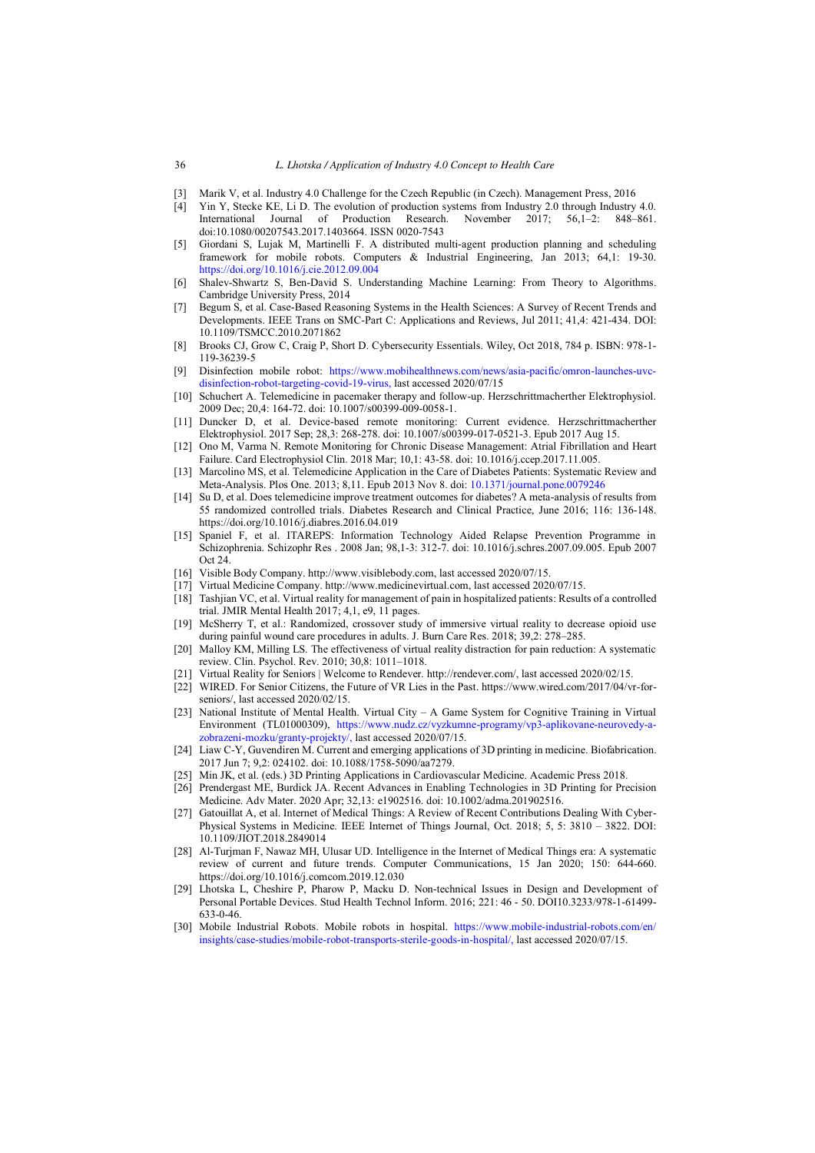- [3] Marik V, et al. Industry 4.0 Challenge for the Czech Republic (in Czech). Management Press, 2016
- Yin Y, Stecke KE, Li D. The evolution of production systems from Industry 2.0 through Industry 4.0.<br>International Journal of Production Research. November 2017: 56.1–2: 848–861. Journal of Production Research. November doi:10.1080/00207543.2017.1403664. ISSN 0020-7543
- [5] Giordani S, Lujak M, Martinelli F. A distributed multi-agent production planning and scheduling framework for mobile robots. Computers & Industrial Engineering, Jan 2013; 64,1: 19-30. <https://doi.org/10.1016/j.cie.2012.09.004>
- [6] Shalev-Shwartz S, Ben-David S. Understanding Machine Learning: From Theory to Algorithms. Cambridge University Press, 2014
- [7] Begum S, et al. Case-Based Reasoning Systems in the Health Sciences: A Survey of Recent Trends and Developments. IEEE Trans on SMC-Part C: Applications and Reviews, Jul 2011; 41,4: 421-434. DOI: 10.1109/TSMCC.2010.2071862
- [8] Brooks CJ, Grow C, Craig P, Short D. Cybersecurity Essentials. Wiley, Oct 2018, 784 p. ISBN: 978-1- 119-36239-5
- [9] Disinfection mobile robot: [https://www.mobihealthnews.com/news/asia-pacific/omron-launches-uvc](https://www.mobihealthnews.com/news/asia-pacific/omron-launches-uvc-disinfection-robot-targeting-covid-19-virus)[disinfection-robot-targeting-covid-19-virus,](https://www.mobihealthnews.com/news/asia-pacific/omron-launches-uvc-disinfection-robot-targeting-covid-19-virus) last accessed 2020/07/15
- [10] Schuchert A. Telemedicine in pacemaker therapy and follow-up. Herzschrittmacherther Elektrophysiol. 2009 Dec; 20,4: 164-72. doi: 10.1007/s00399-009-0058-1.
- [11] Duncker D, et al. Device-based remote monitoring: Current evidence. Herzschrittmacherther Elektrophysiol. 2017 Sep; 28,3: 268-278. doi: 10.1007/s00399-017-0521-3. Epub 2017 Aug 15.
- [12] Ono M, Varma N. Remote Monitoring for Chronic Disease Management: Atrial Fibrillation and Heart Failure. Card Electrophysiol Clin. 2018 Mar; 10,1: 43-58. doi: 10.1016/j.ccep.2017.11.005.
- [13] Marcolino MS, et al. Telemedicine Application in the Care of Diabetes Patients: Systematic Review and Meta-Analysis. Plos One. 2013; 8,11. Epub 2013 Nov 8. doi: [10.1371/journal.pone.0079246](https://dx.doi.org/10.1371%2Fjournal.pone.0079246)
- [14] Su D, et al. Does telemedicine improve treatment outcomes for diabetes? A meta-analysis of results from 55 randomized controlled trials. Diabetes Research and Clinical Practice, June 2016; 116: 136-148. https://doi.org/10.1016/j.diabres.2016.04.019
- [15] Spaniel F, et al. ITAREPS: Information Technology Aided Relapse Prevention Programme in Schizophrenia. Schizophr Res . 2008 Jan; 98,1-3: 312-7. doi: 10.1016/j.schres.2007.09.005. Epub 2007 Oct 24.
- [16] Visible Body Company. http://www.visiblebody.com, last accessed 2020/07/15.
- [17] Virtual Medicine Company. http://www.medicinevirtual.com, last accessed 2020/07/15.
- [18] Tashjian VC, et al. Virtual reality for management of pain in hospitalized patients: Results of a controlled trial. JMIR Mental Health 2017; 4,1, e9, 11 pages.
- [19] McSherry T, et al.: Randomized, crossover study of immersive virtual reality to decrease opioid use during painful wound care procedures in adults. J. Burn Care Res. 2018; 39,2: 278–285.
- [20] Malloy KM, Milling LS. The effectiveness of virtual reality distraction for pain reduction: A systematic review. Clin. Psychol. Rev. 2010; 30,8: 1011–1018.
- [21] Virtual Reality for Seniors | Welcome to Rendever. http://rendever.com/, last accessed 2020/02/15.
- [22] WIRED. For Senior Citizens, the Future of VR Lies in the Past. https://www.wired.com/2017/04/vr-forseniors/, last accessed 2020/02/15.
- [23] National Institute of Mental Health. Virtual City A Game System for Cognitive Training in Virtual Environment (TL01000309), [https://www.nudz.cz/vyzkumne-programy/vp3-aplikovane-neurovedy-a](https://www.nudz.cz/vyzkumne-programy/vp3-aplikovane-neurovedy-a-zobrazeni-mozku/granty-projekty/)[zobrazeni-mozku/granty-projekty/,](https://www.nudz.cz/vyzkumne-programy/vp3-aplikovane-neurovedy-a-zobrazeni-mozku/granty-projekty/) last accessed 2020/07/15.
- [24] Liaw C-Y, Guvendiren M. Current and emerging applications of 3D printing in medicine. Biofabrication. 2017 Jun 7; 9,2: 024102. doi: 10.1088/1758-5090/aa7279.
- [25] Min JK, et al. (eds.) 3D Printing Applications in Cardiovascular Medicine. Academic Press 2018.
- [26] Prendergast ME, Burdick JA. Recent Advances in Enabling Technologies in 3D Printing for Precision Medicine. Adv Mater. 2020 Apr; 32,13: e1902516. doi: 10.1002/adma.201902516.
- [27] Gatouillat A, et al. Internet of Medical Things: A Review of Recent Contributions Dealing With Cyber-Physical Systems in Medicine. IEEE Internet of Things Journal, Oct. 2018; 5, 5: 3810 – 3822. DOI: 10.1109/JIOT.2018.2849014
- [28] Al-Turjman F, Nawaz MH, Ulusar UD. Intelligence in the Internet of Medical Things era: A systematic review of current and future trends. Computer Communications, 15 Jan 2020; 150: 644-660. https://doi.org/10.1016/j.comcom.2019.12.030
- [29] Lhotska L, Cheshire P, Pharow P, Macku D. Non-technical Issues in Design and Development of Personal Portable Devices. Stud Health Technol Inform. 2016; 221: 46 - 50. DOI10.3233/978-1-61499- 633-0-46.
- [30] Mobile Industrial Robots. Mobile robots in hospital. [https://www.mobile-industrial-robots.com/en/](https://www.mobile-industrial-robots.com/en/%20insights/case-studies/mobile-robot-transports-sterile-goods-in-hospital/)  [insights/case-studies/mobile-robot-transports-sterile-goods-in-hospital/,](https://www.mobile-industrial-robots.com/en/%20insights/case-studies/mobile-robot-transports-sterile-goods-in-hospital/) last accessed 2020/07/15.